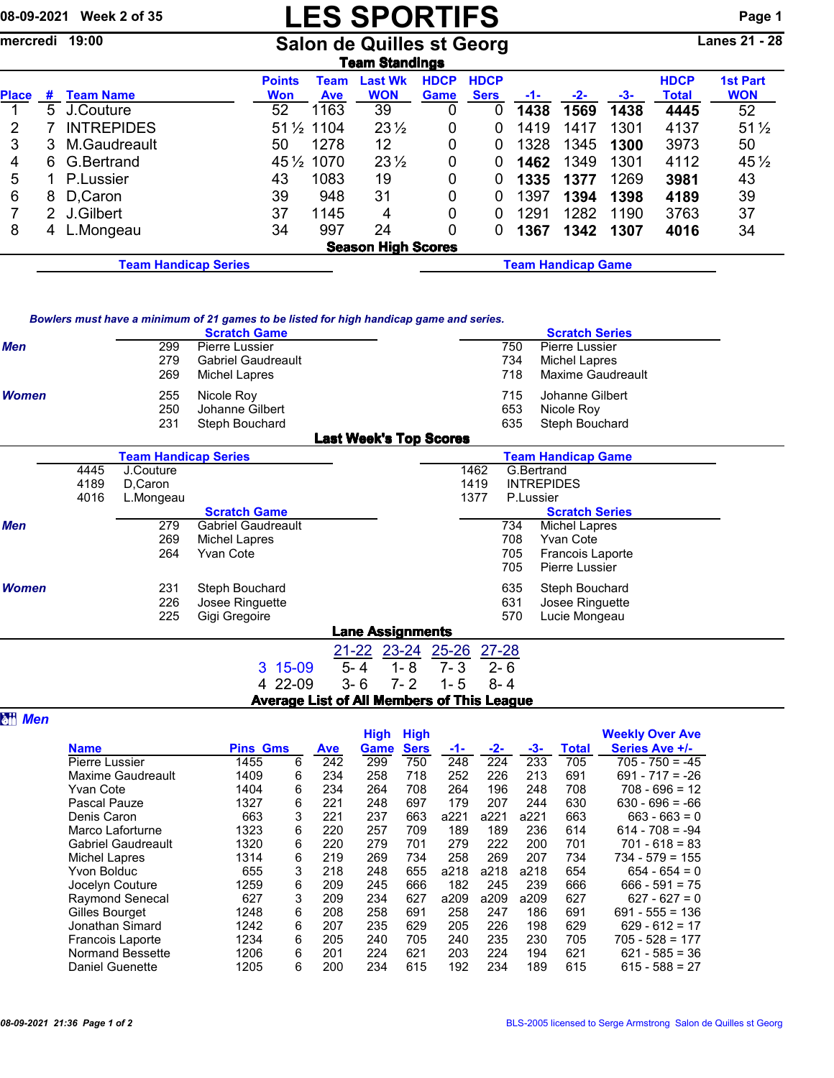## 08-09-2021 Week 2 of 35 **LES SPORTIFS** Page 1

mercredi 19:00 Salon de Quilles st Georg Lanes 21 - 28

| Team Standings |                                                   |                   |               |             |                           |             |             |      |       |      |             |                 |
|----------------|---------------------------------------------------|-------------------|---------------|-------------|---------------------------|-------------|-------------|------|-------|------|-------------|-----------------|
|                |                                                   |                   | <b>Points</b> | Team        | <b>Last Wk</b>            | <b>HDCP</b> | <b>HDCP</b> |      |       |      | <b>HDCP</b> | <b>1st Part</b> |
| <b>Place</b>   | #                                                 | <b>Team Name</b>  | <b>Won</b>    | <b>Ave</b>  | <b>WON</b>                | Game        | <b>Sers</b> | -1-  | $-2-$ | -3-  | Total       | <b>WON</b>      |
|                | 5.                                                | J.Couture         | 52            | 1163        | 39                        | 0           | 0           | 1438 | 1569  | 1438 | 4445        | 52              |
| 2              |                                                   | <b>INTREPIDES</b> |               | 51 1/2 1104 | $23\frac{1}{2}$           | 0           | 0           | 1419 | 1417  | 1301 | 4137        | $51\frac{1}{2}$ |
| 3              | 3                                                 | M.Gaudreault      | 50            | 1278        | 12                        | 0           | 0           | 1328 | 1345  | 1300 | 3973        | 50              |
| 4              | 6.                                                | G.Bertrand        |               | 45 1/2 1070 | $23\frac{1}{2}$           | 0           | 0           | 1462 | 1349  | 1301 | 4112        | $45\frac{1}{2}$ |
| 5              |                                                   | P.Lussier         | 43            | 1083        | 19                        | 0           | 0           | 1335 | 1377  | 1269 | 3981        | 43              |
| 6              | 8                                                 | D.Caron           | 39            | 948         | 31                        | 0           | 0           | 1397 | 1394  | 1398 | 4189        | 39              |
|                |                                                   | 2 J.Gilbert       | 37            | 1145        | 4                         | 0           | 0           | 1291 | 1282  | 1190 | 3763        | 37              |
| 8              | 4                                                 | L.Mongeau         | 34            | 997         | 24                        | 0           | 0           | 1367 | 1342  | 1307 | 4016        | 34              |
|                |                                                   |                   |               |             | <b>Season High Scores</b> |             |             |      |       |      |             |                 |
|                | <b>Team Handicap Game</b><br>Team Handicap Series |                   |               |             |                           |             |             |      |       |      |             |                 |

| Bowlers must have a minimum of 21 games to be listed for high handicap game and series. |  |  |  |
|-----------------------------------------------------------------------------------------|--|--|--|
|                                                                                         |  |  |  |

|              |      |                             | <b>Scratch Game</b>       | Dowlers must have a minimum or z r games to be nated for myn handicap game and series. |      |     | <b>Scratch Series</b>   |
|--------------|------|-----------------------------|---------------------------|----------------------------------------------------------------------------------------|------|-----|-------------------------|
| <b>Men</b>   |      | 299                         | Pierre Lussier            |                                                                                        |      | 750 | Pierre Lussier          |
|              |      | 279                         | <b>Gabriel Gaudreault</b> |                                                                                        |      | 734 | Michel Lapres           |
|              |      | 269                         | Michel Lapres             |                                                                                        |      | 718 | Maxime Gaudreault       |
| <b>Women</b> |      | 255                         | Nicole Roy                |                                                                                        |      | 715 | Johanne Gilbert         |
|              |      | 250                         | Johanne Gilbert           |                                                                                        |      | 653 | Nicole Roy              |
|              |      | 231                         | Steph Bouchard            |                                                                                        |      | 635 | Steph Bouchard          |
|              |      |                             |                           | <b>Last Week's Top Scores</b>                                                          |      |     |                         |
|              |      | <b>Team Handicap Series</b> |                           | <b>Team Handicap Game</b>                                                              |      |     |                         |
|              | 4445 | J.Couture                   |                           |                                                                                        | 1462 |     | G.Bertrand              |
|              | 4189 | D.Caron                     |                           |                                                                                        | 1419 |     | <b>INTREPIDES</b>       |
|              | 4016 | L.Mongeau                   |                           |                                                                                        | 1377 |     | P.Lussier               |
|              |      |                             | <b>Scratch Game</b>       |                                                                                        |      |     | <b>Scratch Series</b>   |
| <b>Men</b>   |      | 279                         | Gabriel Gaudreault        |                                                                                        |      | 734 | Michel Lapres           |
|              |      | 269                         | Michel Lapres             |                                                                                        |      | 708 | Yvan Cote               |
|              |      | 264                         | Yvan Cote                 |                                                                                        |      | 705 | <b>Francois Laporte</b> |
|              |      |                             |                           |                                                                                        |      | 705 | Pierre Lussier          |
| <b>Women</b> |      | 231                         | Steph Bouchard            |                                                                                        |      | 635 | Steph Bouchard          |

|                | 226<br>225 | Josee Ringuette<br>Gigi Gregoire           |                         |                                 | 631<br>570 | Josee Ringuette<br>Lucie Mongeau |  |
|----------------|------------|--------------------------------------------|-------------------------|---------------------------------|------------|----------------------------------|--|
|                |            |                                            | <b>Lane Assignments</b> |                                 |            |                                  |  |
|                |            |                                            |                         | 21-22 23-24 25-26 27-28         |            |                                  |  |
|                |            | 3 15-09                                    |                         | $5 - 4$ $1 - 8$ $7 - 3$ $2 - 6$ |            |                                  |  |
|                |            | 4 22-09 3-6 7-2 1-5 8-4                    |                         |                                 |            |                                  |  |
|                |            | Average List of All Members of This League |                         |                                 |            |                                  |  |
| <b>att Men</b> |            |                                            |                         |                                 |            |                                  |  |

|                           |                 |   |            | <b>High</b> | <b>High</b> |      |       |      |              | <b>Weekly Over Ave</b> |
|---------------------------|-----------------|---|------------|-------------|-------------|------|-------|------|--------------|------------------------|
| <b>Name</b>               | <b>Pins Gms</b> |   | <b>Ave</b> | Game        | <b>Sers</b> | -1-  | $-2-$ | -3-  | <b>Total</b> | Series Ave +/-         |
| Pierre Lussier            | 1455            | 6 | 242        | 299         | 750         | 248  | 224   | 233  | 705          | $705 - 750 = -45$      |
| Maxime Gaudreault         | 1409            | 6 | 234        | 258         | 718         | 252  | 226   | 213  | 691          | $691 - 717 = -26$      |
| <b>Yvan Cote</b>          | 1404            | 6 | 234        | 264         | 708         | 264  | 196   | 248  | 708          | $708 - 696 = 12$       |
| Pascal Pauze              | 1327            | 6 | 221        | 248         | 697         | 179  | 207   | 244  | 630          | $630 - 696 = -66$      |
| Denis Caron               | 663             | 3 | 221        | 237         | 663         | a221 | a221  | a221 | 663          | $663 - 663 = 0$        |
| Marco Laforturne          | 1323            | 6 | 220        | 257         | 709         | 189  | 189   | 236  | 614          | $614 - 708 = -94$      |
| <b>Gabriel Gaudreault</b> | 1320            | 6 | 220        | 279         | 701         | 279  | 222   | 200  | 701          | $701 - 618 = 83$       |
| Michel Lapres             | 1314            | 6 | 219        | 269         | 734         | 258  | 269   | 207  | 734          | $734 - 579 = 155$      |
| Yvon Bolduc               | 655             | 3 | 218        | 248         | 655         | a218 | a218  | a218 | 654          | $654 - 654 = 0$        |
| Jocelyn Couture           | 1259            | 6 | 209        | 245         | 666         | 182  | 245   | 239  | 666          | $666 - 591 = 75$       |
| <b>Raymond Senecal</b>    | 627             | 3 | 209        | 234         | 627         | a209 | a209  | a209 | 627          | $627 - 627 = 0$        |
| Gilles Bourget            | 1248            | 6 | 208        | 258         | 691         | 258  | 247   | 186  | 691          | $691 - 555 = 136$      |
| Jonathan Simard           | 1242            | 6 | 207        | 235         | 629         | 205  | 226   | 198  | 629          | $629 - 612 = 17$       |
| <b>Francois Laporte</b>   | 1234            | 6 | 205        | 240         | 705         | 240  | 235   | 230  | 705          | $705 - 528 = 177$      |
| Normand Bessette          | 1206            | 6 | 201        | 224         | 621         | 203  | 224   | 194  | 621          | $621 - 585 = 36$       |
| <b>Daniel Guenette</b>    | 1205            | 6 | 200        | 234         | 615         | 192  | 234   | 189  | 615          | $615 - 588 = 27$       |
|                           |                 |   |            |             |             |      |       |      |              |                        |